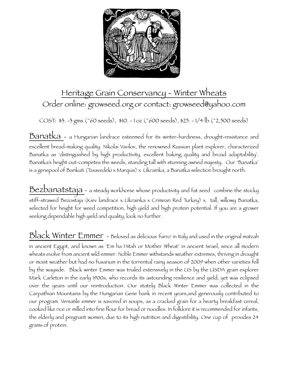

## Heritage Grain Conservancy - Winter Wheats Order online: growseed.org or contact: growseed@yahoo.com

COST: \$3. -3 gms (~60 seeds), \$10. - 1 oz (~600 seeds), \$25. - 1/4 lb (~2,500 seeds)

Banatka - a Hungarian landrace esteemed for its winter-hardiness, drought-resistance and excellent bread-making quality. Nikolai Vavilov, the renowned Russian plant explorer, characterized Banatka as 'distinguished by high productivity, excellent baking quality and broad adaptability'. Banatka's height out-competes the weeds, standing tall with stunning awned majesty. Our 'Banatka' is a genepool of Bankuti (Tzsavedeki x Marquis) x Ukrainka, a Banatka selection brought north.

Bezbanatstaja - a steady workhorse whose productivity and fat seed combine the stocky stiff-strawed Bezostaja (Kiev landrace x Ukrainka x Crimean Red Turkey) x tall, willowy Banatka, selected for height for weed competition, high yield and high protein potential. If you are a grower seeking dependable high yield and quality, look no further.

Black Winter Emmer - Beloved as delicious 'farro' in Italy and used in the original matzah in ancient Egypt, and known as 'Em ha Hitah or Mother Wheat' in ancient Israel, since all modern wheats evolve from ancient wild emmer. Noble Emmer withstands weather extremes, thriving in drought or moist weather but had no fusarium in the torrential rainy season of 2009 when other varieties fell by the wayside. Black winter Emmer was trialed extensively in the US by the USDA grain explorer Mark Carleton in the early 1900s, who records its astounding resilience and yield, yet was eclipsed over the years until our reintroduction. Our stately Black Winter Emmer was collected in the Carpathian Mountains by the Hungarian Gene bank in recent years,and generously contributed to our program. Versatile emmer is savored in soups, as a cracked grain for a hearty breakfast cereal, cooked like rice or milled into fine flour for bread or noodles. In folklore it is recommended for infants, the elderly and pregnant women, due to its high nutrition and digestibility. One cup of provides 24 grams of protein.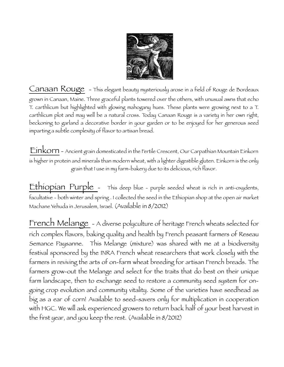

Canaan Rouge - This elegant beauty mysteriously arose in a field of Rouge de Bordeaux grown in Canaan, Maine. Three graceful plants towered over the others, with unusual awns that echo T. carthlicum but highlighted with glowing mahogany hues. These plants were growing next to a T. carthlicum plot and may well be a natural cross. Today Canaan Rouge is a variety in her own right, beckoning to garland a decorative border in your garden or to be enjoyed for her generous seed imparting a subtle complexity of flavor to artisan bread.

Einkorn - Ancient grain domesticated in the Fertile Crescent, Our Carpathian Mountain Einkorn is higher in protein and minerals than modern wheat, with a lighter digestible gluten. Einkorn is the only grain that I use in my farm-bakery due to its delicious, rich flavor.

Ethiopian Purple - This deep blue - purple seeded wheat is rich in anti-oxydents, facultative - both winter and spring . I collected the seed in the Ethiopian shop at the open air market Machane Yehuda in Jerusalem, Israel. (Available in 8/2012)

French Melange - A diverse polyculture of heritage French wheats selected for rich complex flavors, baking quality and health by French peasant farmers of Reseau Semance Paysanne. This Melange (mixture) was shared with me at a biodiversity festival sponsored by the INRA French wheat researchers that work closely with the farmers in reviving the arts of on-farm wheat breeding for artisan French breads. The farmers grow-out the Melange and select for the traits that do best on their unique farm landscape, then to exchange seed to restore a community seed system for ongoing crop evolution and community vitality. Some of the varieties have seedhead as big as a ear of corn! Available to seed-savers only for multiplication in cooperation with HGC. We will ask experienced growers to return back half of your best harvest in the first year, and you keep the rest. (Available in 8/2012)